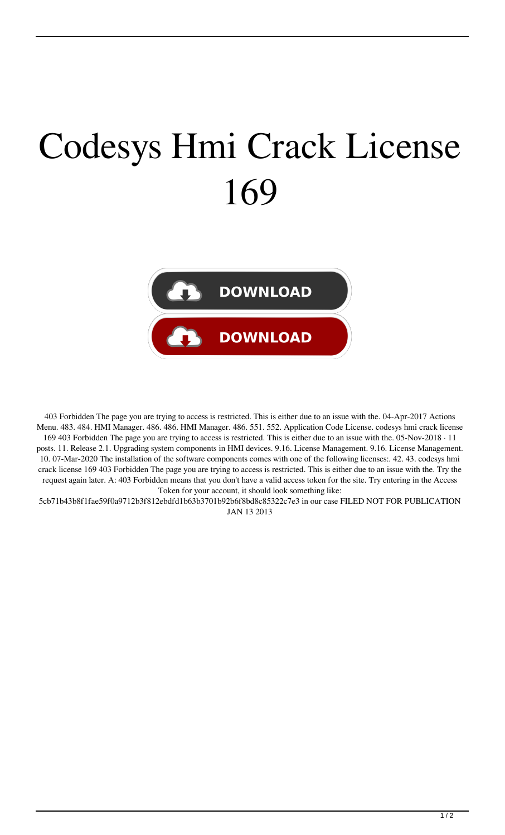## Codesys Hmi Crack License 169



403 Forbidden The page you are trying to access is restricted. This is either due to an issue with the. 04-Apr-2017 Actions Menu. 483. 484. HMI Manager. 486. 486. HMI Manager. 486. 551. 552. Application Code License. codesys hmi crack license 169 403 Forbidden The page you are trying to access is restricted. This is either due to an issue with the. 05-Nov-2018 · 11 posts. 11. Release 2.1. Upgrading system components in HMI devices. 9.16. License Management. 9.16. License Management. 10. 07-Mar-2020 The installation of the software components comes with one of the following licenses:. 42. 43. codesys hmi crack license 169 403 Forbidden The page you are trying to access is restricted. This is either due to an issue with the. Try the request again later. A: 403 Forbidden means that you don't have a valid access token for the site. Try entering in the Access Token for your account, it should look something like:

5cb71b43b8f1fae59f0a9712b3f812ebdfd1b63b3701b92b6f8bd8c85322c7e3 in our case FILED NOT FOR PUBLICATION JAN 13 2013